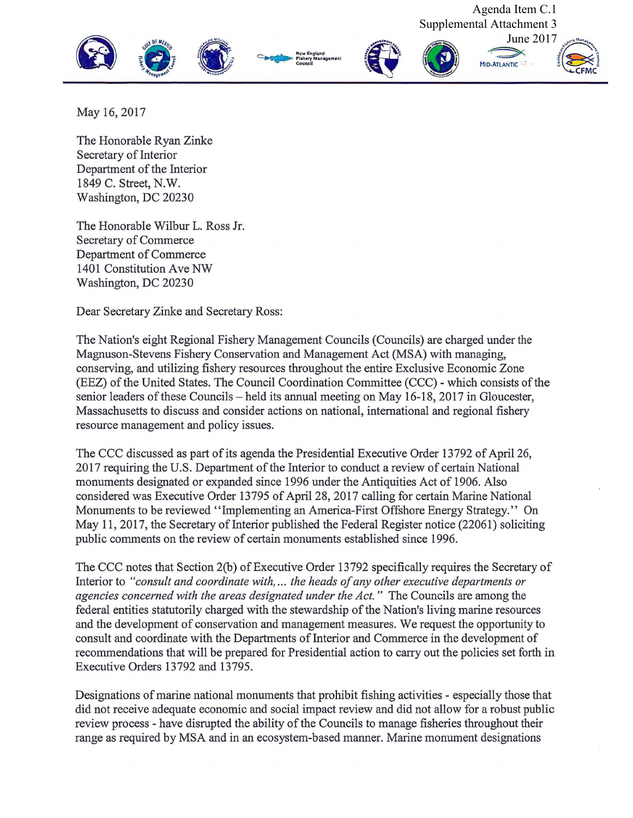

May 16, 2017

The Honorable Ryan Zinke Secretary of Interior Department of the Interior 1849 C. Street, **N.W.**  Washington, DC 20230

The Honorable Wilbur L. Ross Jr. Secretary of Commerce :Department of Commerce 1401 Constitution Ave NW Washington, DC 20230

Dear Secretary Zinke and Secretary Ross:

The Nation's eight Regional Fishery Management Councils (Councils) are charged under the Magnuson-Stevens Fishery Conservation and Management Act (MSA) with managing, conserving, and utilizing fishery resources throughout the entire Exclusive Economic Zone (EEZ) of the United States. The Council Coordination Committee (CCC) - which consists of the senior leaders of these Councils – held its annual meeting on May 16-18, 2017 in Gloucester, Massachusetts to discuss and consider actions on national, international and regional fishery resource management and policy issues.

The CCC discussed as part of its agenda the Presidential Executive Order 13792 of April 26, 2017 requiring the U.S. Department of the Interior to conduct a review of certain National monuments designated or expanded since 1996 under the Antiquities Act of 1906. Also considered was Executive Order 13795 of April 28, 2017 calling for certain Marine National Monuments to be reviewed ''Implementing an America-First Offshore Energy Strategy.'' On May 11, 2017, the Secretary of Interior published the Federal Register notice (22061) soliciting public comments on the review of certain monuments established since 1996.

The CCC notes that Section 2(b) of Executive Order 13792 specifically requires the Secretary of Interior to *"consult and coordinate with, ... the heads of any other executive departments or agencies concerned with the areas designated under the Act.* " The Councils are among the federal entities statutorily charged with the stewardship of the Nation's living marine resources and the development of conservation and management measures. We request the opportunity to consult and coordinate with the Departments of Interior and Commerce in the development of recommendations that will be prepared for Presidential action to carry out the policies set forth in Executive Orders 13792 and 13795.

Designations of marine national monuments that prohibit fishing activities - especially those that did not receive adequate economic and social impact review and did not allow for a robust public review process - have disrupted the ability of the Councils to manage fisheries throughout their range as required by MSA and in an ecosystem-based manner. Marine monument designations